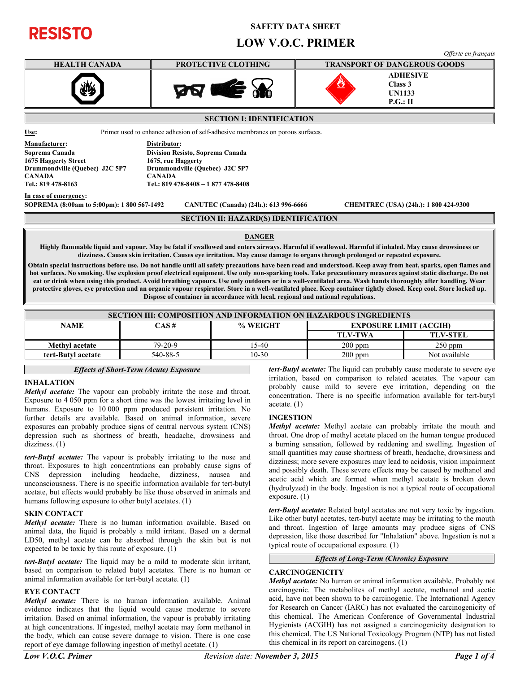# **RESISTO**

# **SAFETY DATA SHEET**

# **LOW V.O.C. PRIMER**



| <b>SECTION III: COMPOSITION AND INFORMATION ON HAZARDOUS INGREDIENTS</b> |           |          |                               |                 |  |
|--------------------------------------------------------------------------|-----------|----------|-------------------------------|-----------------|--|
| <b>NAME</b>                                                              | CAS #     | % WEIGHT | <b>EXPOSURE LIMIT (ACGIH)</b> |                 |  |
|                                                                          |           |          | <b>TLV-TWA</b>                | <b>TLV-STEL</b> |  |
| <b>Methyl</b> acetate                                                    | $79-20-9$ | $5-40$   | $200$ ppm                     | $250$ ppm       |  |
| tert-Butyl acetate                                                       | 540-88-5  | 10-30    | $200$ ppm                     | Not available   |  |

#### *Effects of Short-Term (Acute) Exposure*

# **INHALATION**

*Methyl acetate:* The vapour can probably irritate the nose and throat. Exposure to 4 050 ppm for a short time was the lowest irritating level in humans. Exposure to 10 000 ppm produced persistent irritation. No further details are available. Based on animal information, severe exposures can probably produce signs of central nervous system (CNS) depression such as shortness of breath, headache, drowsiness and dizziness. (1)

*tert-Butyl acetate:* The vapour is probably irritating to the nose and throat. Exposures to high concentrations can probably cause signs of CNS depression including headache, dizziness, nausea and unconsciousness. There is no specific information available for tert-butyl acetate, but effects would probably be like those observed in animals and humans following exposure to other butyl acetates. (1)

#### **SKIN CONTACT**

*Methyl acetate:* There is no human information available. Based on animal data, the liquid is probably a mild irritant. Based on a dermal LD50, methyl acetate can be absorbed through the skin but is not expected to be toxic by this route of exposure. (1)

*tert-Butyl acetate:* The liquid may be a mild to moderate skin irritant, based on comparison to related butyl acetates. There is no human or animal information available for tert-butyl acetate. (1)

# **EYE CONTACT**

*Methyl acetate:* There is no human information available. Animal evidence indicates that the liquid would cause moderate to severe irritation. Based on animal information, the vapour is probably irritating at high concentrations. If ingested, methyl acetate may form methanol in the body, which can cause severe damage to vision. There is one case report of eye damage following ingestion of methyl acetate. (1)

*tert-Butyl acetate:* The liquid can probably cause moderate to severe eye irritation, based on comparison to related acetates. The vapour can probably cause mild to severe eye irritation, depending on the concentration. There is no specific information available for tert-butyl acetate. (1)

# **INGESTION**

*Methyl acetate:* Methyl acetate can probably irritate the mouth and throat. One drop of methyl acetate placed on the human tongue produced a burning sensation, followed by reddening and swelling. Ingestion of small quantities may cause shortness of breath, headache, drowsiness and dizziness; more severe exposures may lead to acidosis, vision impairment and possibly death. These severe effects may be caused by methanol and acetic acid which are formed when methyl acetate is broken down (hydrolyzed) in the body. Ingestion is not a typical route of occupational exposure. (1)

*tert-Butyl acetate:* Related butyl acetates are not very toxic by ingestion. Like other butyl acetates, tert-butyl acetate may be irritating to the mouth and throat. Ingestion of large amounts may produce signs of CNS depression, like those described for "Inhalation" above. Ingestion is not a typical route of occupational exposure. (1)

# *Effects of Long-Term (Chronic) Exposure*

#### **CARCINOGENICITY**

*Methyl acetate:* No human or animal information available. Probably not carcinogenic. The metabolites of methyl acetate, methanol and acetic acid, have not been shown to be carcinogenic. The International Agency for Research on Cancer (IARC) has not evaluated the carcinogenicity of this chemical. The American Conference of Governmental Industrial Hygienists (ACGIH) has not assigned a carcinogenicity designation to this chemical. The US National Toxicology Program (NTP) has not listed this chemical in its report on carcinogens. (1)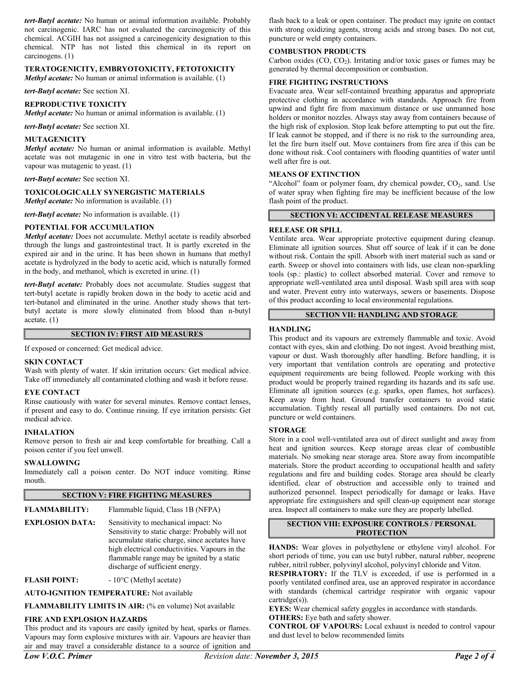*tert-Butyl acetate:* No human or animal information available. Probably not carcinogenic. IARC has not evaluated the carcinogenicity of this chemical. ACGIH has not assigned a carcinogenicity designation to this chemical. NTP has not listed this chemical in its report on carcinogens. (1)

# **TERATOGENICITY, EMBRYOTOXICITY, FETOTOXICITY**

*Methyl acetate:* No human or animal information is available. (1)

*tert-Butyl acetate:* See section XI.

#### **REPRODUCTIVE TOXICITY**

*Methyl acetate:* No human or animal information is available. (1)

*tert-Butyl acetate:* See section XI.

#### **MUTAGENICITY**

*Methyl acetate:* No human or animal information is available. Methyl acetate was not mutagenic in one in vitro test with bacteria, but the vapour was mutagenic to yeast. (1)

*tert-Butyl acetate:* See section XI.

#### **TOXICOLOGICALLY SYNERGISTIC MATERIALS**

*Methyl acetate:* No information is available. (1)

*tert-Butyl acetate:* No information is available. (1)

#### **POTENTIAL FOR ACCUMULATION**

*Methyl acetate:* Does not accumulate. Methyl acetate is readily absorbed through the lungs and gastrointestinal tract. It is partly excreted in the expired air and in the urine. It has been shown in humans that methyl acetate is hydrolyzed in the body to acetic acid, which is naturally formed in the body, and methanol, which is excreted in urine. (1)

*tert-Butyl acetate:* Probably does not accumulate. Studies suggest that tert-butyl acetate is rapidly broken down in the body to acetic acid and tert-butanol and eliminated in the urine. Another study shows that tertbutyl acetate is more slowly eliminated from blood than n-butyl acetate. (1)

#### **SECTION IV: FIRST AID MEASURES**

If exposed or concerned: Get medical advice.

#### **SKIN CONTACT**

Wash with plenty of water. If skin irritation occurs: Get medical advice. Take off immediately all contaminated clothing and wash it before reuse.

#### **EYE CONTACT**

Rinse cautiously with water for several minutes. Remove contact lenses, if present and easy to do. Continue rinsing. If eye irritation persists: Get medical advice.

#### **INHALATION**

Remove person to fresh air and keep comfortable for breathing. Call a poison center if you feel unwell.

#### **SWALLOWING**

Immediately call a poison center. Do NOT induce vomiting. Rinse mouth.

# **SECTION V: FIRE FIGHTING MEASURES**

- **FLAMMABILITY:** Flammable liquid, Class 1B (NFPA)
- **EXPLOSION DATA:** Sensitivity to mechanical impact: No Sensitivity to static charge: Probably will not accumulate static charge, since acetates have high electrical conductivities. Vapours in the flammable range may be ignited by a static discharge of sufficient energy.

**FLASH POINT:**  $-10^{\circ}$ C (Methyl acetate)

**AUTO-IGNITION TEMPERATURE:** Not available

**FLAMMABILITY LIMITS IN AIR:** (% en volume) Not available

#### **FIRE AND EXPLOSION HAZARDS**

This product and its vapours are easily ignited by heat, sparks or flames. Vapours may form explosive mixtures with air. Vapours are heavier than air and may travel a considerable distance to a source of ignition and flash back to a leak or open container. The product may ignite on contact with strong oxidizing agents, strong acids and strong bases. Do not cut, puncture or weld empty containers.

#### **COMBUSTION PRODUCTS**

Carbon oxides  $(CO, CO<sub>2</sub>)$ . Irritating and/or toxic gases or fumes may be generated by thermal decomposition or combustion.

#### **FIRE FIGHTING INSTRUCTIONS**

Evacuate area. Wear self-contained breathing apparatus and appropriate protective clothing in accordance with standards. Approach fire from upwind and fight fire from maximum distance or use unmanned hose holders or monitor nozzles. Always stay away from containers because of the high risk of explosion. Stop leak before attempting to put out the fire. If leak cannot be stopped, and if there is no risk to the surrounding area, let the fire burn itself out. Move containers from fire area if this can be done without risk. Cool containers with flooding quantities of water until well after fire is out.

#### **MEANS OF EXTINCTION**

"Alcohol" foam or polymer foam, dry chemical powder, CO<sub>2</sub>, sand. Use of water spray when fighting fire may be inefficient because of the low flash point of the product.

# **SECTION VI: ACCIDENTAL RELEASE MEASURES**

#### **RELEASE OR SPILL**

Ventilate area. Wear appropriate protective equipment during cleanup. Eliminate all ignition sources. Shut off source of leak if it can be done without risk. Contain the spill. Absorb with inert material such as sand or earth. Sweep or shovel into containers with lids, use clean non-sparkling tools (sp.: plastic) to collect absorbed material. Cover and remove to appropriate well-ventilated area until disposal. Wash spill area with soap and water. Prevent entry into waterways, sewers or basements. Dispose of this product according to local environmental regulations.

### **SECTION VII: HANDLING AND STORAGE**

#### **HANDLING**

This product and its vapours are extremely flammable and toxic. Avoid contact with eyes, skin and clothing. Do not ingest. Avoid breathing mist, vapour or dust. Wash thoroughly after handling. Before handling, it is very important that ventilation controls are operating and protective equipment requirements are being followed. People working with this product would be properly trained regarding its hazards and its safe use. Eliminate all ignition sources (e.g. sparks, open flames, hot surfaces). Keep away from heat. Ground transfer containers to avoid static accumulation. Tightly reseal all partially used containers. Do not cut, puncture or weld containers.

#### **STORAGE**

Store in a cool well-ventilated area out of direct sunlight and away from heat and ignition sources. Keep storage areas clear of combustible materials. No smoking near storage area. Store away from incompatible materials. Store the product according to occupational health and safety regulations and fire and building codes. Storage area should be clearly identified, clear of obstruction and accessible only to trained and authorized personnel. Inspect periodically for damage or leaks. Have appropriate fire extinguishers and spill clean-up equipment near storage area. Inspect all containers to make sure they are properly labelled.

**SECTION VIII: EXPOSURE CONTROLS / PERSONAL PROTECTION**

**HANDS:** Wear gloves in polyethylene or ethylene vinyl alcohol. For short periods of time, you can use butyl rubber, natural rubber, neoprene rubber, nitril rubber, polyvinyl alcohol, polyvinyl chloride and Viton.

**RESPIRATORY:** If the TLV is exceeded, if use is performed in a poorly ventilated confined area, use an approved respirator in accordance with standards (chemical cartridge respirator with organic vapour cartridge(s)).

**EYES:** Wear chemical safety goggles in accordance with standards. **OTHERS:** Eye bath and safety shower.

**CONTROL OF VAPOURS:** Local exhaust is needed to control vapour and dust level to below recommended limits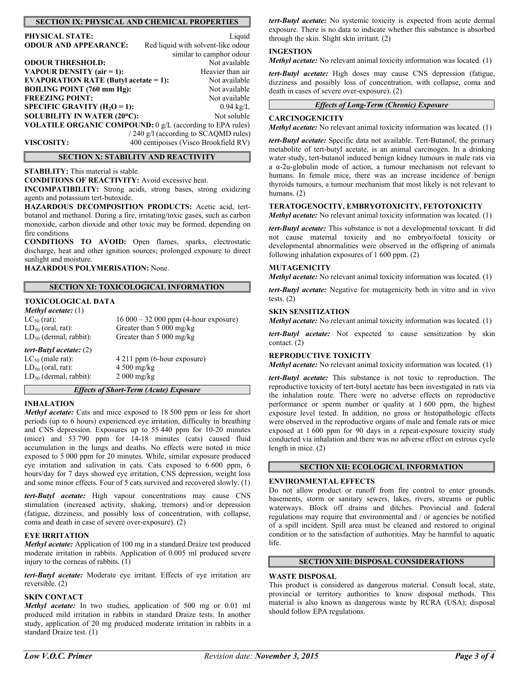# **SECTION IX: PHYSICAL AND CHEMICAL PROPERTIES**

| <b>PHYSICAL STATE:</b>                                           | Liquid                                |  |
|------------------------------------------------------------------|---------------------------------------|--|
| <b>ODOUR AND APPEARANCE:</b>                                     | Red liquid with solvent-like odour    |  |
|                                                                  | similar to camphor odour              |  |
| <b>ODOUR THRESHOLD:</b>                                          | Not available                         |  |
| VAPOUR DENSITY $(air = 1)$ :                                     | Heavier than air                      |  |
| <b>EVAPORATION RATE (Butyl acetate = 1):</b>                     | Not available                         |  |
| <b>BOILING POINT (760 mm Hg):</b>                                | Not available                         |  |
| <b>FREEZING POINT:</b>                                           | Not available                         |  |
| SPECIFIC GRAVITY $(H2O = 1)$ :                                   | $0.94 \text{ kg/L}$                   |  |
| SOLUBILITY IN WATER (20°C):                                      | Not soluble                           |  |
| <b>VOLATILE ORGANIC COMPOUND:</b> 0 g/L (according to EPA rules) |                                       |  |
|                                                                  | / 240 g/l (according to SCAQMD rules) |  |
| VISCOSITY:                                                       | 400 centipoises (Visco Brookfield RV) |  |

#### **SECTION X: STABILITY AND REACTIVITY**

**STABILITY:** This material is stable.

**CONDITIONS OF REACTIVITY:** Avoid excessive heat.

**INCOMPATIBILITY:** Strong acids, strong bases, strong oxidizing agents and potassium tert-butoxide.

**HAZARDOUS DECOMPOSITION PRODUCTS:** Acetic acid, tertbutanol and methanol. During a fire, irritating/toxic gases, such as carbon monoxide, carbon dioxide and other toxic may be formed, depending on fire conditions

**CONDITIONS TO AVOID:** Open flames, sparks, electrostatic discharge, heat and other ignition sources; prolonged exposure to direct sunlight and moisture.

**HAZARDOUS POLYMERISATION:** None.

#### **SECTION XI: TOXICOLOGICAL INFORMATION**

#### **TOXICOLOGICAL DATA**

# *Methyl acetate:* (1)

 $LC_{50}$  (rat): 16 000 – 32 000 ppm (4-hour exposure)<br> $LD_{50}$  (oral, rat): Greater than 5 000 mg/kg  $LD_{50}$  (oral, rat): Greater than 5 000 mg/kg<br> $LD_{50}$  (dermal, rabbit): Greater than 5 000 mg/kg Greater than 5 000 mg/kg

#### *tert-Butyl acetate:* (2)

 $LD_{50}$  (oral, rat): 4 500 mg/kg  $LD_{50}$  (dermal, rabbit):  $2000 \text{ mg/kg}$ 

 $LC_{50}$  (male rat):  $4\,211$  ppm (6-hour exposure)

#### *Effects of Short-Term (Acute) Exposure*

#### **INHALATION**

*Methyl acetate:* Cats and mice exposed to 18 500 ppm or less for short periods (up to 6 hours) experienced eye irritation, difficulty in breathing and CNS depression. Exposures up to 55 440 ppm for 10-20 minutes (mice) and 53 790 ppm for 14-18 minutes (cats) caused fluid accumulation in the lungs and deaths. No effects were noted in mice exposed to 5 000 ppm for 20 minutes. While, similar exposure produced eye irritation and salivation in cats. Cats exposed to 6 600 ppm, 6 hours/day for 7 days showed eye irritation, CNS depression, weight loss and some minor effects. Four of 5 cats survived and recovered slowly. (1)

*tert-Butyl acetate:* High vapour concentrations may cause CNS stimulation (increased activity, shaking, tremors) and/or depression (fatigue, dizziness, and possibly loss of concentration, with collapse, coma and death in case of severe over-exposure). (2)

#### **EYE IRRITATION**

*Methyl acetate:* Application of 100 mg in a standard Draize test produced moderate irritation in rabbits. Application of 0.005 ml produced severe injury to the corneas of rabbits. (1)

*tert-Butyl acetate:* Moderate eye irritant. Effects of eye irritation are reversible. (2)

#### **SKIN CONTACT**

*Methyl acetate:* In two studies, application of 500 mg or 0.01 ml produced mild irritation in rabbits in standard Draize tests. In another study, application of 20 mg produced moderate irritation in rabbits in a standard Draize test. (1)

*tert-Butyl acetate:* No systemic toxicity is expected from acute dermal exposure. There is no data to indicate whether this substance is absorbed through the skin. Slight skin irritant. (2)

#### **INGESTION**

*Methyl acetate:* No relevant animal toxicity information was located. (1)

*tert-Butyl acetate:* High doses may cause CNS depression (fatigue, dizziness and possibly loss of concentration, with collapse, coma and death in cases of severe over-exposure). (2)

# *Effects of Long-Term (Chronic) Exposure*

#### **CARCINOGENICITY**

*Methyl acetate:* No relevant animal toxicity information was located. (1)

*tert-Butyl acetate:* Specific data not available. Tert-Butanol, the primary metabolite of tert-butyl acetate, is an animal carcinogen. In a drinking water study, tert-butanol induced benign kidney tumours in male rats via a α-2u-globulin mode of action, a tumour mechanism not relevant to humans. In female mice, there was an increase incidence of benign thyroids tumours, a tumour mechanism that most likely is not relevant to humans. (2)

#### **TERATOGENOCITY, EMBRYOTOXICITY, FETOTOXICITY**

*Methyl acetate:* No relevant animal toxicity information was located. (1)

*tert-Butyl acetate:* This substance is not a developmental toxicant. It did not cause maternal toxicity and no embryo/foetal toxicity or developmental abnormalities were observed in the offspring of animals following inhalation exposures of 1 600 ppm. (2)

#### **MUTAGENICITY**

*Methyl acetate:* No relevant animal toxicity information was located. (1)

*tert-Butyl acetate:* Negative for mutagenicity both in vitro and in vivo tests.  $(2)$ 

#### **SKIN SENSITIZATION**

*Methyl acetate:* No relevant animal toxicity information was located. (1)

*tert-Butyl acetate:* Not expected to cause sensitization by skin contact. (2)

#### **REPRODUCTIVE TOXICITY**

*Methyl acetate:* No relevant animal toxicity information was located. (1)

*tert-Butyl acetate:* This substance is not toxic to reproduction. The reproductive toxicity of tert-butyl acetate has been investigated in rats via the inhalation route. There were no adverse effects on reproductive performance or sperm number or quality at 1 600 ppm, the highest exposure level tested. In addition, no gross or histopathologic effects were observed in the reproductive organs of male and female rats or mice exposed at 1 600 ppm for 90 days in a repeat-exposure toxicity study conducted via inhalation and there was no adverse effect on estrous cycle length in mice. (2)

# **SECTION XII: ECOLOGICAL INFORMATION**

#### **ENVIRONMENTAL EFFECTS**

Do not allow product or runoff from fire control to enter grounds, basements, storm or sanitary sewers, lakes, rivers, streams or public waterways. Block off drains and ditches. Provincial and federal regulations may require that environmental and / or agencies be notified of a spill incident. Spill area must be cleaned and restored to original condition or to the satisfaction of authorities. May be harmful to aquatic life.

#### **SECTION XIII: DISPOSAL CONSIDERATIONS**

#### **WASTE DISPOSAL**

This product is considered as dangerous material. Consult local, state, provincial or territory authorities to know disposal methods. This material is also known as dangerous waste by RCRA (USA); disposal should follow EPA regulations.